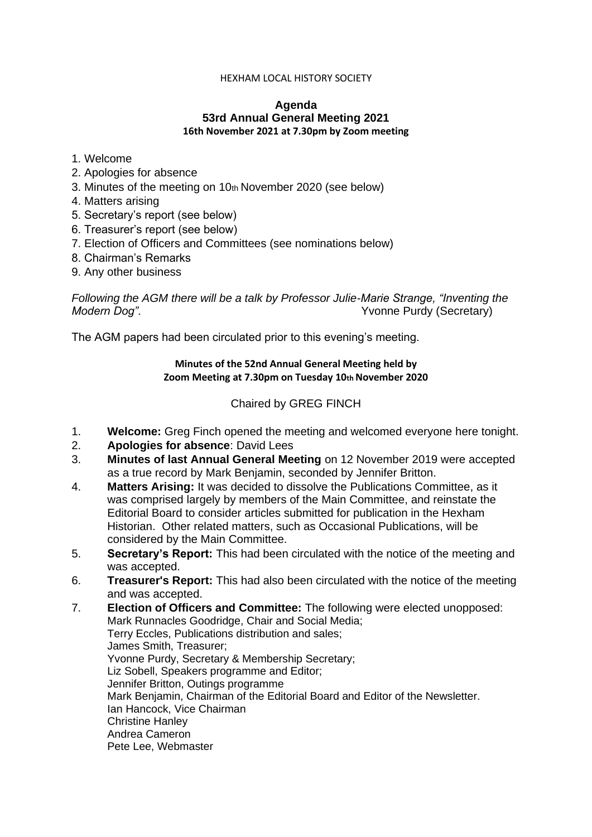#### HEXHAM LOCAL HISTORY SOCIETY

#### **Agenda 53rd Annual General Meeting 2021 16th November 2021 at 7.30pm by Zoom meeting**

#### 1. Welcome

- 2. Apologies for absence
- 3. Minutes of the meeting on 10th November 2020 (see below)
- 4. Matters arising
- 5. Secretary's report (see below)
- 6. Treasurer's report (see below)
- 7. Election of Officers and Committees (see nominations below)
- 8. Chairman's Remarks
- 9. Any other business

# *Following the AGM there will be a talk by Professor Julie-Marie Strange, "Inventing the Modern Dog".* Yvonne Purdy (Secretary)

The AGM papers had been circulated prior to this evening's meeting.

## **Minutes of the 52nd Annual General Meeting held by Zoom Meeting at 7.30pm on Tuesday 10th November 2020**

## Chaired by GREG FINCH

- 1. **Welcome:** Greg Finch opened the meeting and welcomed everyone here tonight.
- 2. **Apologies for absence**: David Lees
- 3. **Minutes of last Annual General Meeting** on 12 November 2019 were accepted as a true record by Mark Benjamin, seconded by Jennifer Britton.
- 4. **Matters Arising:** It was decided to dissolve the Publications Committee, as it was comprised largely by members of the Main Committee, and reinstate the Editorial Board to consider articles submitted for publication in the Hexham Historian. Other related matters, such as Occasional Publications, will be considered by the Main Committee.
- 5. **Secretary's Report:** This had been circulated with the notice of the meeting and was accepted.
- 6. **Treasurer's Report:** This had also been circulated with the notice of the meeting and was accepted.
- 7. **Election of Officers and Committee:** The following were elected unopposed: Mark Runnacles Goodridge, Chair and Social Media; Terry Eccles, Publications distribution and sales; James Smith, Treasurer; Yvonne Purdy, Secretary & Membership Secretary; Liz Sobell, Speakers programme and Editor; Jennifer Britton, Outings programme Mark Benjamin, Chairman of the Editorial Board and Editor of the Newsletter. Ian Hancock, Vice Chairman Christine Hanley Andrea Cameron Pete Lee, Webmaster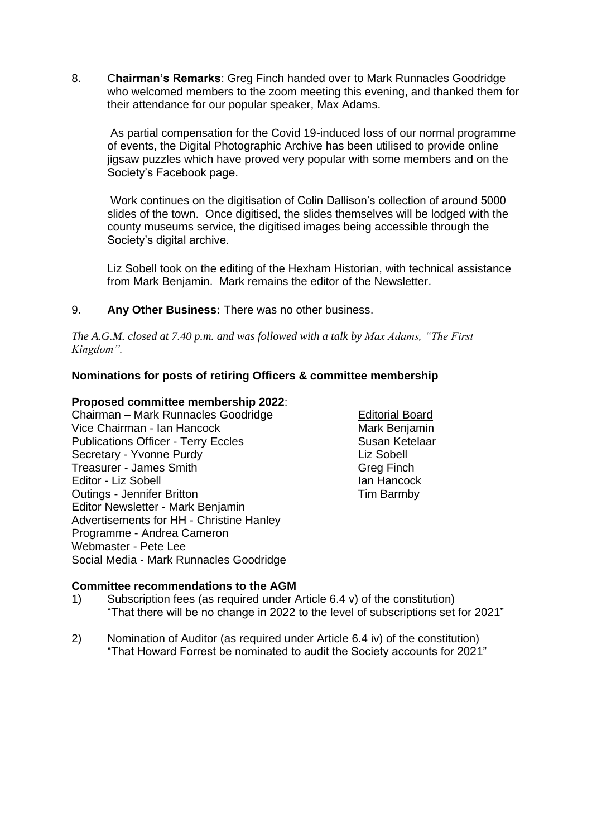8. C**hairman's Remarks**: Greg Finch handed over to Mark Runnacles Goodridge who welcomed members to the zoom meeting this evening, and thanked them for their attendance for our popular speaker, Max Adams.

As partial compensation for the Covid 19-induced loss of our normal programme of events, the Digital Photographic Archive has been utilised to provide online jigsaw puzzles which have proved very popular with some members and on the Society's Facebook page.

Work continues on the digitisation of Colin Dallison's collection of around 5000 slides of the town. Once digitised, the slides themselves will be lodged with the county museums service, the digitised images being accessible through the Society's digital archive.

Liz Sobell took on the editing of the Hexham Historian, with technical assistance from Mark Benjamin. Mark remains the editor of the Newsletter.

## 9. **Any Other Business:** There was no other business.

*The A.G.M. closed at 7.40 p.m. and was followed with a talk by Max Adams, "The First Kingdom".*

## **Nominations for posts of retiring Officers & committee membership**

#### **Proposed committee membership 2022**:

Chairman – Mark Runnacles Goodridge Feditorial Board Vice Chairman - Ian Hancock Mark Benjamin Publications Officer - Terry Eccles Susan Ketelaar Secretary - Yvonne Purdy **Liz Sobell** Treasurer - James Smith Greg Finch Editor - Liz Sobell **Ian Hancock** Outings - Jennifer Britton **Tim Barmby** Editor Newsletter - Mark Benjamin Advertisements for HH - Christine Hanley Programme - Andrea Cameron Webmaster - Pete Lee Social Media - Mark Runnacles Goodridge

#### **Committee recommendations to the AGM**

- 1) Subscription fees (as required under Article 6.4 v) of the constitution) "That there will be no change in 2022 to the level of subscriptions set for 2021"
- 2) Nomination of Auditor (as required under Article 6.4 iv) of the constitution) "That Howard Forrest be nominated to audit the Society accounts for 2021"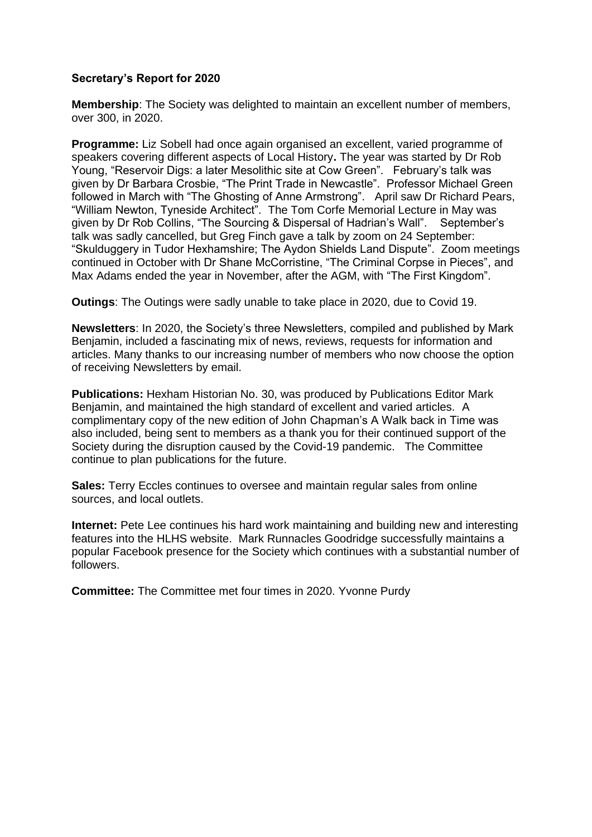## **Secretary's Report for 2020**

**Membership**: The Society was delighted to maintain an excellent number of members, over 300, in 2020.

**Programme:** Liz Sobell had once again organised an excellent, varied programme of speakers covering different aspects of Local History**.** The year was started by Dr Rob Young, "Reservoir Digs: a later Mesolithic site at Cow Green". February's talk was given by Dr Barbara Crosbie, "The Print Trade in Newcastle". Professor Michael Green followed in March with "The Ghosting of Anne Armstrong". April saw Dr Richard Pears, "William Newton, Tyneside Architect". The Tom Corfe Memorial Lecture in May was given by Dr Rob Collins, "The Sourcing & Dispersal of Hadrian's Wall". September's talk was sadly cancelled, but Greg Finch gave a talk by zoom on 24 September: "Skulduggery in Tudor Hexhamshire; The Aydon Shields Land Dispute". Zoom meetings continued in October with Dr Shane McCorristine, "The Criminal Corpse in Pieces", and Max Adams ended the year in November, after the AGM, with "The First Kingdom".

**Outings**: The Outings were sadly unable to take place in 2020, due to Covid 19.

**Newsletters**: In 2020, the Society's three Newsletters, compiled and published by Mark Benjamin, included a fascinating mix of news, reviews, requests for information and articles. Many thanks to our increasing number of members who now choose the option of receiving Newsletters by email.

**Publications:** Hexham Historian No. 30, was produced by Publications Editor Mark Benjamin, and maintained the high standard of excellent and varied articles. A complimentary copy of the new edition of John Chapman's A Walk back in Time was also included, being sent to members as a thank you for their continued support of the Society during the disruption caused by the Covid-19 pandemic. The Committee continue to plan publications for the future.

**Sales:** Terry Eccles continues to oversee and maintain regular sales from online sources, and local outlets.

**Internet:** Pete Lee continues his hard work maintaining and building new and interesting features into the HLHS website. Mark Runnacles Goodridge successfully maintains a popular Facebook presence for the Society which continues with a substantial number of followers.

**Committee:** The Committee met four times in 2020. Yvonne Purdy